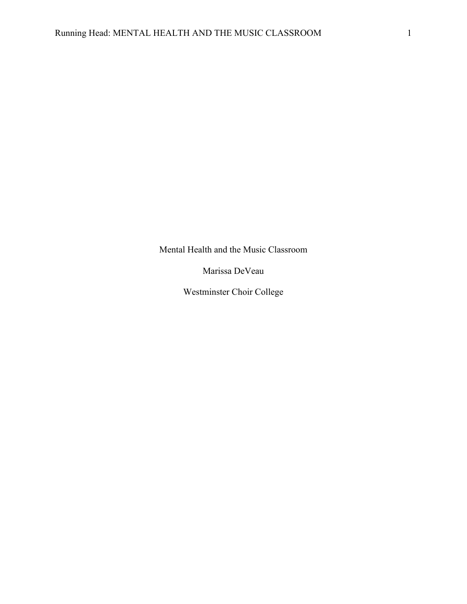Mental Health and the Music Classroom

Marissa DeVeau

Westminster Choir College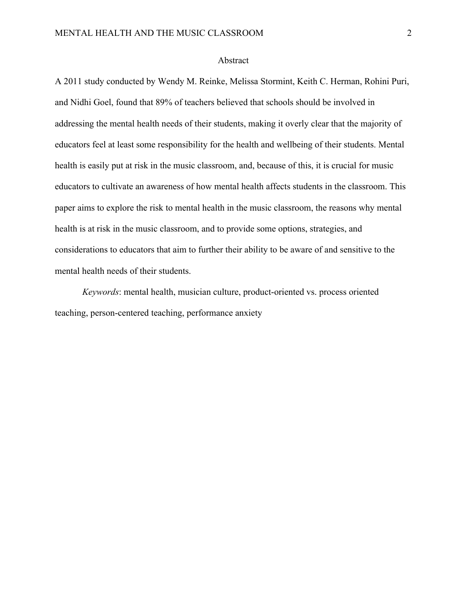### Abstract

A 2011 study conducted by Wendy M. Reinke, Melissa Stormint, Keith C. Herman, Rohini Puri, and Nidhi Goel, found that 89% of teachers believed that schools should be involved in addressing the mental health needs of their students, making it overly clear that the majority of educators feel at least some responsibility for the health and wellbeing of their students. Mental health is easily put at risk in the music classroom, and, because of this, it is crucial for music educators to cultivate an awareness of how mental health affects students in the classroom. This paper aims to explore the risk to mental health in the music classroom, the reasons why mental health is at risk in the music classroom, and to provide some options, strategies, and considerations to educators that aim to further their ability to be aware of and sensitive to the mental health needs of their students.

*Keywords*: mental health, musician culture, product-oriented vs. process oriented teaching, person-centered teaching, performance anxiety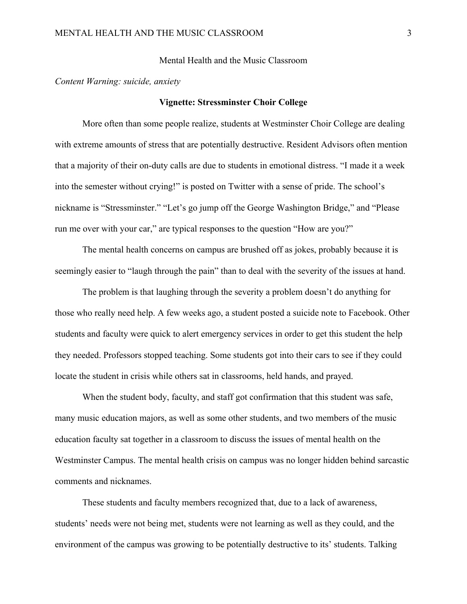Mental Health and the Music Classroom

*Content Warning: suicide, anxiety*

#### **Vignette: Stressminster Choir College**

More often than some people realize, students at Westminster Choir College are dealing with extreme amounts of stress that are potentially destructive. Resident Advisors often mention that a majority of their on-duty calls are due to students in emotional distress. "I made it a week into the semester without crying!" is posted on Twitter with a sense of pride. The school's nickname is "Stressminster." "Let's go jump off the George Washington Bridge," and "Please run me over with your car," are typical responses to the question "How are you?"

The mental health concerns on campus are brushed off as jokes, probably because it is seemingly easier to "laugh through the pain" than to deal with the severity of the issues at hand.

The problem is that laughing through the severity a problem doesn't do anything for those who really need help. A few weeks ago, a student posted a suicide note to Facebook. Other students and faculty were quick to alert emergency services in order to get this student the help they needed. Professors stopped teaching. Some students got into their cars to see if they could locate the student in crisis while others sat in classrooms, held hands, and prayed.

When the student body, faculty, and staff got confirmation that this student was safe, many music education majors, as well as some other students, and two members of the music education faculty sat together in a classroom to discuss the issues of mental health on the Westminster Campus. The mental health crisis on campus was no longer hidden behind sarcastic comments and nicknames.

These students and faculty members recognized that, due to a lack of awareness, students' needs were not being met, students were not learning as well as they could, and the environment of the campus was growing to be potentially destructive to its' students. Talking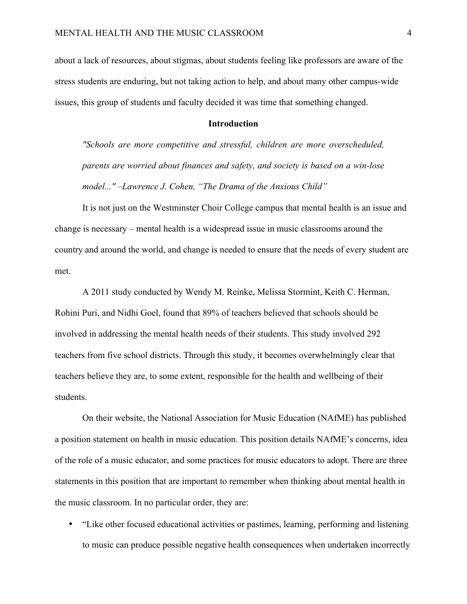about a lack of resources, about stigmas, about students feeling like professors are aware of the stress students are enduring, but not taking action to help, and about many other campus-wide issues, this group of students and faculty decided it was time that something changed.

#### **Introduction**

*"Schools are more competitive and stressful, children are more overscheduled, parents are worried about finances and safety, and society is based on a win-lose model..." –Lawrence J. Cohen, "The Drama of the Anxious Child"*

It is not just on the Westminster Choir College campus that mental health is an issue and change is necessary – mental health is a widespread issue in music classrooms around the country and around the world, and change is needed to ensure that the needs of every student are met.

A 2011 study conducted by Wendy M. Reinke, Melissa Stormint, Keith C. Herman, Rohini Puri, and Nidhi Goel, found that 89% of teachers believed that schools should be involved in addressing the mental health needs of their students. This study involved 292 teachers from five school districts. Through this study, it becomes overwhelmingly clear that teachers believe they are, to some extent, responsible for the health and wellbeing of their students.

On their website, the National Association for Music Education (NAfME) has published a position statement on health in music education. This position details NAfME's concerns, idea of the role of a music educator, and some practices for music educators to adopt. There are three statements in this position that are important to remember when thinking about mental health in the music classroom. In no particular order, they are:

• "Like other focused educational activities or pastimes, learning, performing and listening to music can produce possible negative health consequences when undertaken incorrectly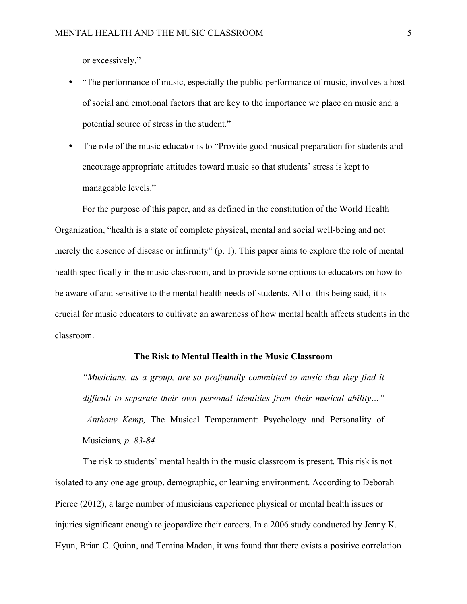or excessively."

- "The performance of music, especially the public performance of music, involves a host of social and emotional factors that are key to the importance we place on music and a potential source of stress in the student."
- The role of the music educator is to "Provide good musical preparation for students and encourage appropriate attitudes toward music so that students' stress is kept to manageable levels."

For the purpose of this paper, and as defined in the constitution of the World Health Organization, "health is a state of complete physical, mental and social well-being and not merely the absence of disease or infirmity" (p. 1). This paper aims to explore the role of mental health specifically in the music classroom, and to provide some options to educators on how to be aware of and sensitive to the mental health needs of students. All of this being said, it is crucial for music educators to cultivate an awareness of how mental health affects students in the classroom.

# **The Risk to Mental Health in the Music Classroom**

*"Musicians, as a group, are so profoundly committed to music that they find it difficult to separate their own personal identities from their musical ability…" –Anthony Kemp,* The Musical Temperament: Psychology and Personality of Musicians*, p. 83-84*

The risk to students' mental health in the music classroom is present. This risk is not isolated to any one age group, demographic, or learning environment. According to Deborah Pierce (2012), a large number of musicians experience physical or mental health issues or injuries significant enough to jeopardize their careers. In a 2006 study conducted by Jenny K. Hyun, Brian C. Quinn, and Temina Madon, it was found that there exists a positive correlation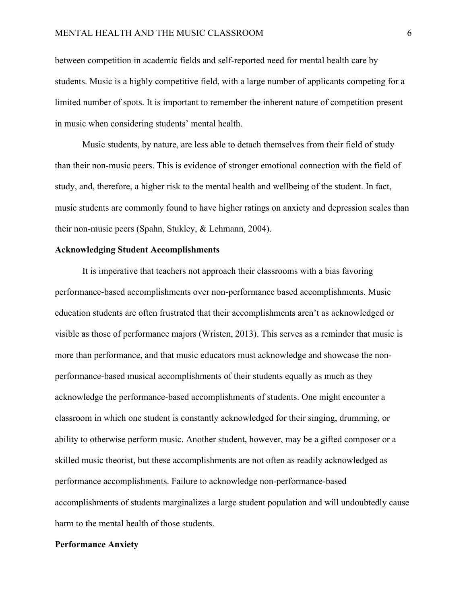between competition in academic fields and self-reported need for mental health care by students. Music is a highly competitive field, with a large number of applicants competing for a limited number of spots. It is important to remember the inherent nature of competition present in music when considering students' mental health.

Music students, by nature, are less able to detach themselves from their field of study than their non-music peers. This is evidence of stronger emotional connection with the field of study, and, therefore, a higher risk to the mental health and wellbeing of the student. In fact, music students are commonly found to have higher ratings on anxiety and depression scales than their non-music peers (Spahn, Stukley, & Lehmann, 2004).

# **Acknowledging Student Accomplishments**

It is imperative that teachers not approach their classrooms with a bias favoring performance-based accomplishments over non-performance based accomplishments. Music education students are often frustrated that their accomplishments aren't as acknowledged or visible as those of performance majors (Wristen, 2013). This serves as a reminder that music is more than performance, and that music educators must acknowledge and showcase the nonperformance-based musical accomplishments of their students equally as much as they acknowledge the performance-based accomplishments of students. One might encounter a classroom in which one student is constantly acknowledged for their singing, drumming, or ability to otherwise perform music. Another student, however, may be a gifted composer or a skilled music theorist, but these accomplishments are not often as readily acknowledged as performance accomplishments. Failure to acknowledge non-performance-based accomplishments of students marginalizes a large student population and will undoubtedly cause harm to the mental health of those students.

### **Performance Anxiety**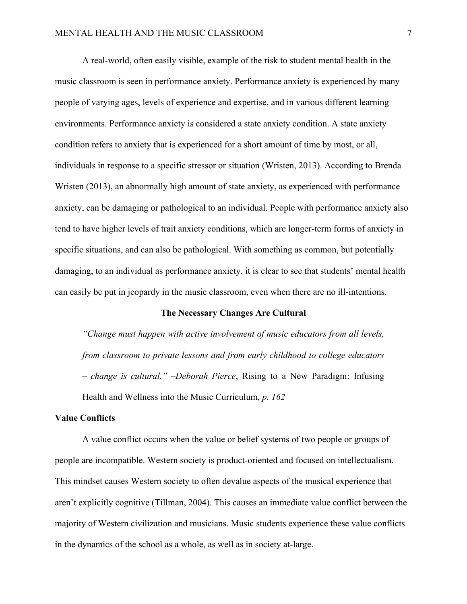A real-world, often easily visible, example of the risk to student mental health in the music classroom is seen in performance anxiety. Performance anxiety is experienced by many people of varying ages, levels of experience and expertise, and in various different learning environments. Performance anxiety is considered a state anxiety condition. A state anxiety condition refers to anxiety that is experienced for a short amount of time by most, or all, individuals in response to a specific stressor or situation (Wristen, 2013). According to Brenda Wristen (2013), an abnormally high amount of state anxiety, as experienced with performance anxiety, can be damaging or pathological to an individual. People with performance anxiety also tend to have higher levels of trait anxiety conditions, which are longer-term forms of anxiety in specific situations, and can also be pathological. With something as common, but potentially damaging, to an individual as performance anxiety, it is clear to see that students' mental health can easily be put in jeopardy in the music classroom, even when there are no ill-intentions.

#### **The Necessary Changes Are Cultural**

*"Change must happen with active involvement of music educators from all levels, from classroom to private lessons and from early childhood to college educators – change is cultural." –Deborah Pierce*, Rising to a New Paradigm: Infusing Health and Wellness into the Music Curriculum*, p. 162*

# **Value Conflicts**

A value conflict occurs when the value or belief systems of two people or groups of people are incompatible. Western society is product-oriented and focused on intellectualism. This mindset causes Western society to often devalue aspects of the musical experience that aren't explicitly cognitive (Tillman, 2004). This causes an immediate value conflict between the majority of Western civilization and musicians. Music students experience these value conflicts in the dynamics of the school as a whole, as well as in society at-large.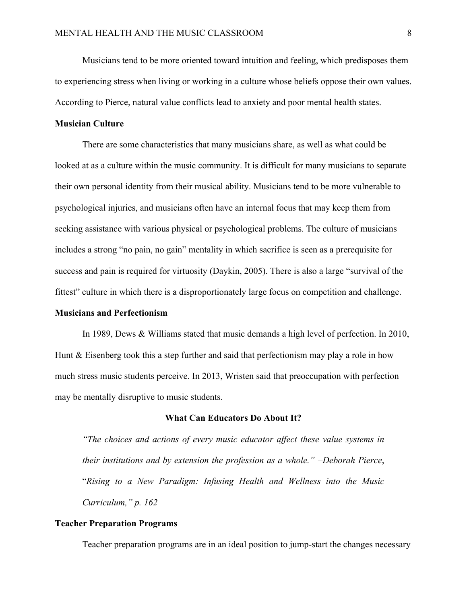Musicians tend to be more oriented toward intuition and feeling, which predisposes them to experiencing stress when living or working in a culture whose beliefs oppose their own values. According to Pierce, natural value conflicts lead to anxiety and poor mental health states.

# **Musician Culture**

There are some characteristics that many musicians share, as well as what could be looked at as a culture within the music community. It is difficult for many musicians to separate their own personal identity from their musical ability. Musicians tend to be more vulnerable to psychological injuries, and musicians often have an internal focus that may keep them from seeking assistance with various physical or psychological problems. The culture of musicians includes a strong "no pain, no gain" mentality in which sacrifice is seen as a prerequisite for success and pain is required for virtuosity (Daykin, 2005). There is also a large "survival of the fittest" culture in which there is a disproportionately large focus on competition and challenge.

#### **Musicians and Perfectionism**

In 1989, Dews & Williams stated that music demands a high level of perfection. In 2010, Hunt & Eisenberg took this a step further and said that perfectionism may play a role in how much stress music students perceive. In 2013, Wristen said that preoccupation with perfection may be mentally disruptive to music students.

#### **What Can Educators Do About It?**

*"The choices and actions of every music educator affect these value systems in their institutions and by extension the profession as a whole."* –*Deborah Pierce*, "*Rising to a New Paradigm: Infusing Health and Wellness into the Music Curriculum," p. 162*

#### **Teacher Preparation Programs**

Teacher preparation programs are in an ideal position to jump-start the changes necessary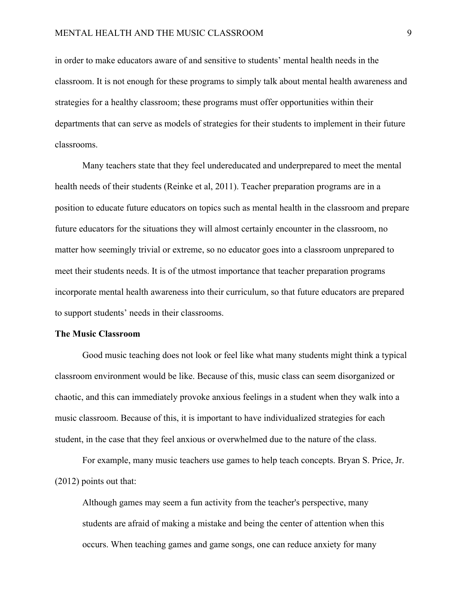in order to make educators aware of and sensitive to students' mental health needs in the classroom. It is not enough for these programs to simply talk about mental health awareness and strategies for a healthy classroom; these programs must offer opportunities within their departments that can serve as models of strategies for their students to implement in their future classrooms.

Many teachers state that they feel undereducated and underprepared to meet the mental health needs of their students (Reinke et al, 2011). Teacher preparation programs are in a position to educate future educators on topics such as mental health in the classroom and prepare future educators for the situations they will almost certainly encounter in the classroom, no matter how seemingly trivial or extreme, so no educator goes into a classroom unprepared to meet their students needs. It is of the utmost importance that teacher preparation programs incorporate mental health awareness into their curriculum, so that future educators are prepared to support students' needs in their classrooms.

### **The Music Classroom**

Good music teaching does not look or feel like what many students might think a typical classroom environment would be like. Because of this, music class can seem disorganized or chaotic, and this can immediately provoke anxious feelings in a student when they walk into a music classroom. Because of this, it is important to have individualized strategies for each student, in the case that they feel anxious or overwhelmed due to the nature of the class.

For example, many music teachers use games to help teach concepts. Bryan S. Price, Jr. (2012) points out that:

Although games may seem a fun activity from the teacher's perspective, many students are afraid of making a mistake and being the center of attention when this occurs. When teaching games and game songs, one can reduce anxiety for many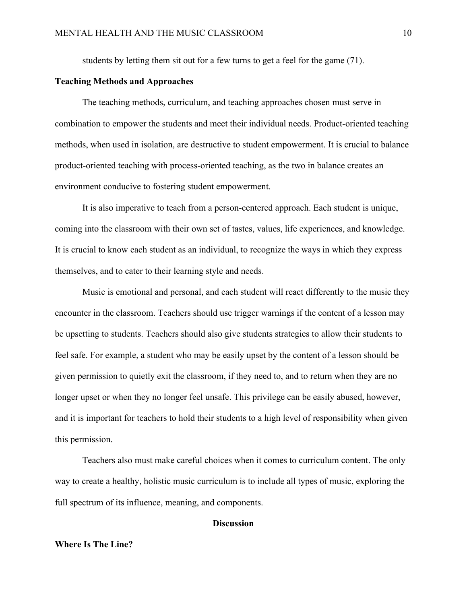students by letting them sit out for a few turns to get a feel for the game (71).

### **Teaching Methods and Approaches**

The teaching methods, curriculum, and teaching approaches chosen must serve in combination to empower the students and meet their individual needs. Product-oriented teaching methods, when used in isolation, are destructive to student empowerment. It is crucial to balance product-oriented teaching with process-oriented teaching, as the two in balance creates an environment conducive to fostering student empowerment.

It is also imperative to teach from a person-centered approach. Each student is unique, coming into the classroom with their own set of tastes, values, life experiences, and knowledge. It is crucial to know each student as an individual, to recognize the ways in which they express themselves, and to cater to their learning style and needs.

Music is emotional and personal, and each student will react differently to the music they encounter in the classroom. Teachers should use trigger warnings if the content of a lesson may be upsetting to students. Teachers should also give students strategies to allow their students to feel safe. For example, a student who may be easily upset by the content of a lesson should be given permission to quietly exit the classroom, if they need to, and to return when they are no longer upset or when they no longer feel unsafe. This privilege can be easily abused, however, and it is important for teachers to hold their students to a high level of responsibility when given this permission.

Teachers also must make careful choices when it comes to curriculum content. The only way to create a healthy, holistic music curriculum is to include all types of music, exploring the full spectrum of its influence, meaning, and components.

# **Discussion**

# **Where Is The Line?**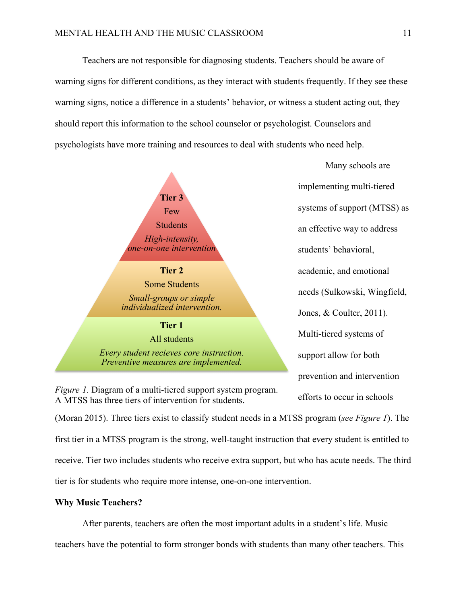Teachers are not responsible for diagnosing students. Teachers should be aware of warning signs for different conditions, as they interact with students frequently. If they see these warning signs, notice a difference in a students' behavior, or witness a student acting out, they should report this information to the school counselor or psychologist. Counselors and psychologists have more training and resources to deal with students who need help.



*Figure 1.* Diagram of a multi-tiered support system program. A MTSS has three tiers of intervention for students.

Many schools are implementing multi-tiered systems of support (MTSS) as an effective way to address students' behavioral, academic, and emotional needs (Sulkowski, Wingfield, Jones, & Coulter, 2011). Multi-tiered systems of support allow for both prevention and intervention efforts to occur in schools

(Moran 2015). Three tiers exist to classify student needs in a MTSS program (*see Figure 1*). The first tier in a MTSS program is the strong, well-taught instruction that every student is entitled to receive. Tier two includes students who receive extra support, but who has acute needs. The third tier is for students who require more intense, one-on-one intervention.

### **Why Music Teachers?**

After parents, teachers are often the most important adults in a student's life. Music teachers have the potential to form stronger bonds with students than many other teachers. This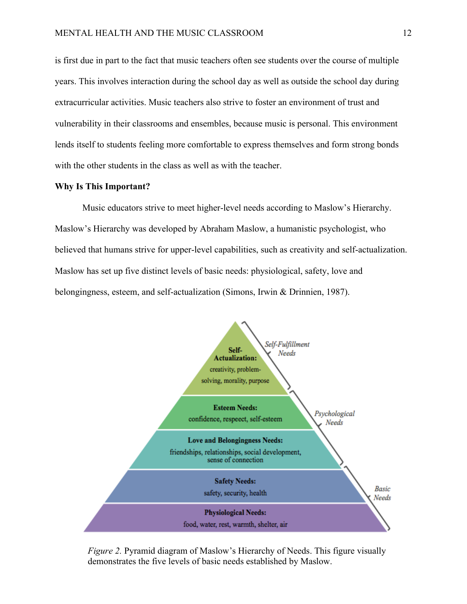is first due in part to the fact that music teachers often see students over the course of multiple years. This involves interaction during the school day as well as outside the school day during extracurricular activities. Music teachers also strive to foster an environment of trust and vulnerability in their classrooms and ensembles, because music is personal. This environment lends itself to students feeling more comfortable to express themselves and form strong bonds with the other students in the class as well as with the teacher.

#### **Why Is This Important?**

Music educators strive to meet higher-level needs according to Maslow's Hierarchy. Maslow's Hierarchy was developed by Abraham Maslow, a humanistic psychologist, who believed that humans strive for upper-level capabilities, such as creativity and self-actualization. Maslow has set up five distinct levels of basic needs: physiological, safety, love and belongingness, esteem, and self-actualization (Simons, Irwin & Drinnien, 1987).



*Figure 2.* Pyramid diagram of Maslow's Hierarchy of Needs. This figure visually demonstrates the five levels of basic needs established by Maslow.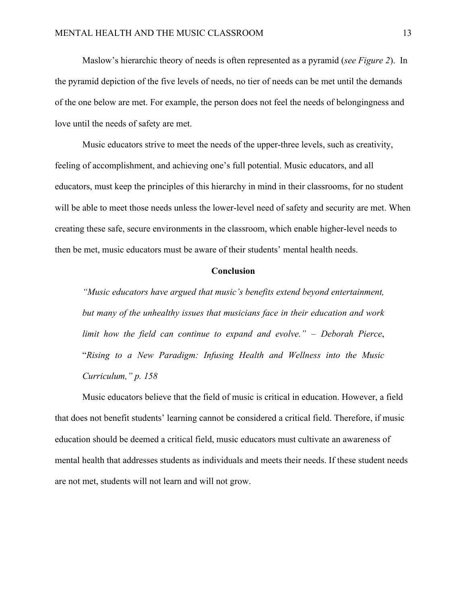Maslow's hierarchic theory of needs is often represented as a pyramid (*see Figure 2*). In the pyramid depiction of the five levels of needs, no tier of needs can be met until the demands of the one below are met. For example, the person does not feel the needs of belongingness and love until the needs of safety are met.

Music educators strive to meet the needs of the upper-three levels, such as creativity, feeling of accomplishment, and achieving one's full potential. Music educators, and all educators, must keep the principles of this hierarchy in mind in their classrooms, for no student will be able to meet those needs unless the lower-level need of safety and security are met. When creating these safe, secure environments in the classroom, which enable higher-level needs to then be met, music educators must be aware of their students' mental health needs.

#### **Conclusion**

*"Music educators have argued that music's benefits extend beyond entertainment, but many of the unhealthy issues that musicians face in their education and work limit how the field can continue to expand and evolve."* – *Deborah Pierce*, "*Rising to a New Paradigm: Infusing Health and Wellness into the Music Curriculum," p. 158*

Music educators believe that the field of music is critical in education. However, a field that does not benefit students' learning cannot be considered a critical field. Therefore, if music education should be deemed a critical field, music educators must cultivate an awareness of mental health that addresses students as individuals and meets their needs. If these student needs are not met, students will not learn and will not grow.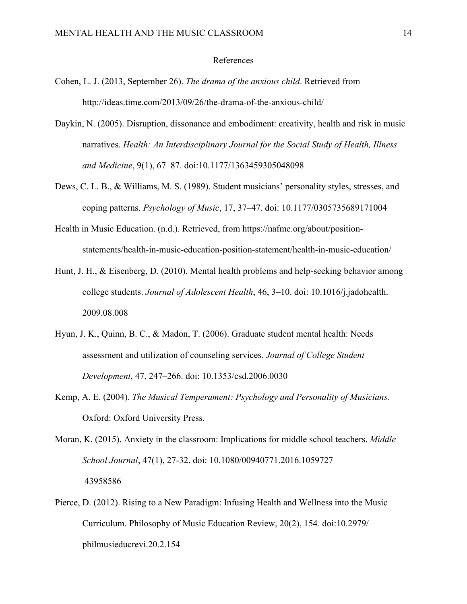#### References

- Cohen, L. J. (2013, September 26). *The drama of the anxious child*. Retrieved from http://ideas.time.com/2013/09/26/the-drama-of-the-anxious-child/
- Daykin, N. (2005). Disruption, dissonance and embodiment: creativity, health and risk in music narratives. *Health: An Interdisciplinary Journal for the Social Study of Health, Illness and Medicine*, 9(1), 67–87. doi:10.1177/1363459305048098
- Dews, C. L. B., & Williams, M. S. (1989). Student musicians' personality styles, stresses, and coping patterns. *Psychology of Music*, 17, 37–47. doi: 10.1177/0305735689171004
- Health in Music Education. (n.d.). Retrieved, from https://nafme.org/about/positionstatements/health-in-music-education-position-statement/health-in-music-education/
- Hunt, J. H., & Eisenberg, D. (2010). Mental health problems and help-seeking behavior among college students. *Journal of Adolescent Health*, 46, 3–10. doi: 10.1016/j.jadohealth. 2009.08.008
- Hyun, J. K., Quinn, B. C., & Madon, T. (2006). Graduate student mental health: Needs assessment and utilization of counseling services. *Journal of College Student Development*, 47, 247–266. doi: 10.1353/csd.2006.0030
- Kemp, A. E. (2004). *The Musical Temperament: Psychology and Personality of Musicians.* Oxford: Oxford University Press.
- Moran, K. (2015). Anxiety in the classroom: Implications for middle school teachers. *Middle School Journal*, 47(1), 27-32. doi: 10.1080/00940771.2016.1059727 43958586
- Pierce, D. (2012). Rising to a New Paradigm: Infusing Health and Wellness into the Music Curriculum. Philosophy of Music Education Review, 20(2), 154. doi:10.2979/ philmusieducrevi.20.2.154